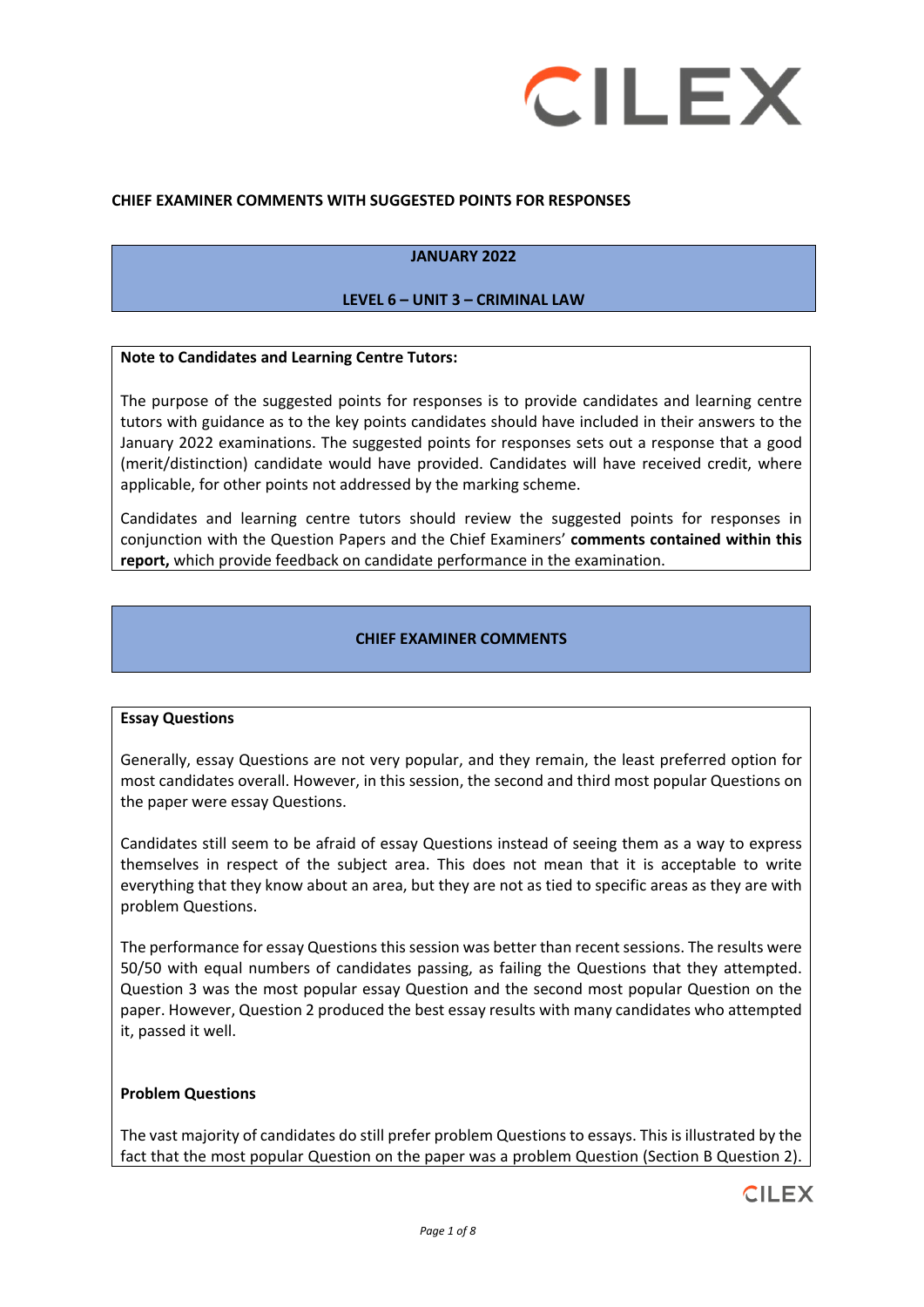

#### **CHIEF EXAMINER COMMENTS WITH SUGGESTED POINTS FOR RESPONSES**

#### **JANUARY 2022**

#### **LEVEL 6 – UNIT 3 – CRIMINAL LAW**

#### **Note to Candidates and Learning Centre Tutors:**

The purpose of the suggested points for responses is to provide candidates and learning centre tutors with guidance as to the key points candidates should have included in their answers to the January 2022 examinations. The suggested points for responses sets out a response that a good (merit/distinction) candidate would have provided. Candidates will have received credit, where applicable, for other points not addressed by the marking scheme.

Candidates and learning centre tutors should review the suggested points for responses in conjunction with the Question Papers and the Chief Examiners' **comments contained within this report,** which provide feedback on candidate performance in the examination.

#### **CHIEF EXAMINER COMMENTS**

#### **Essay Questions**

Generally, essay Questions are not very popular, and they remain, the least preferred option for most candidates overall. However, in this session, the second and third most popular Questions on the paper were essay Questions.

Candidates still seem to be afraid of essay Questions instead of seeing them as a way to express themselves in respect of the subject area. This does not mean that it is acceptable to write everything that they know about an area, but they are not as tied to specific areas as they are with problem Questions.

The performance for essay Questions this session was better than recent sessions. The results were 50/50 with equal numbers of candidates passing, as failing the Questions that they attempted. Question 3 was the most popular essay Question and the second most popular Question on the paper. However, Question 2 produced the best essay results with many candidates who attempted it, passed it well.

#### **Problem Questions**

The vast majority of candidates do still prefer problem Questions to essays. This is illustrated by the fact that the most popular Question on the paper was a problem Question (Section B Question 2).

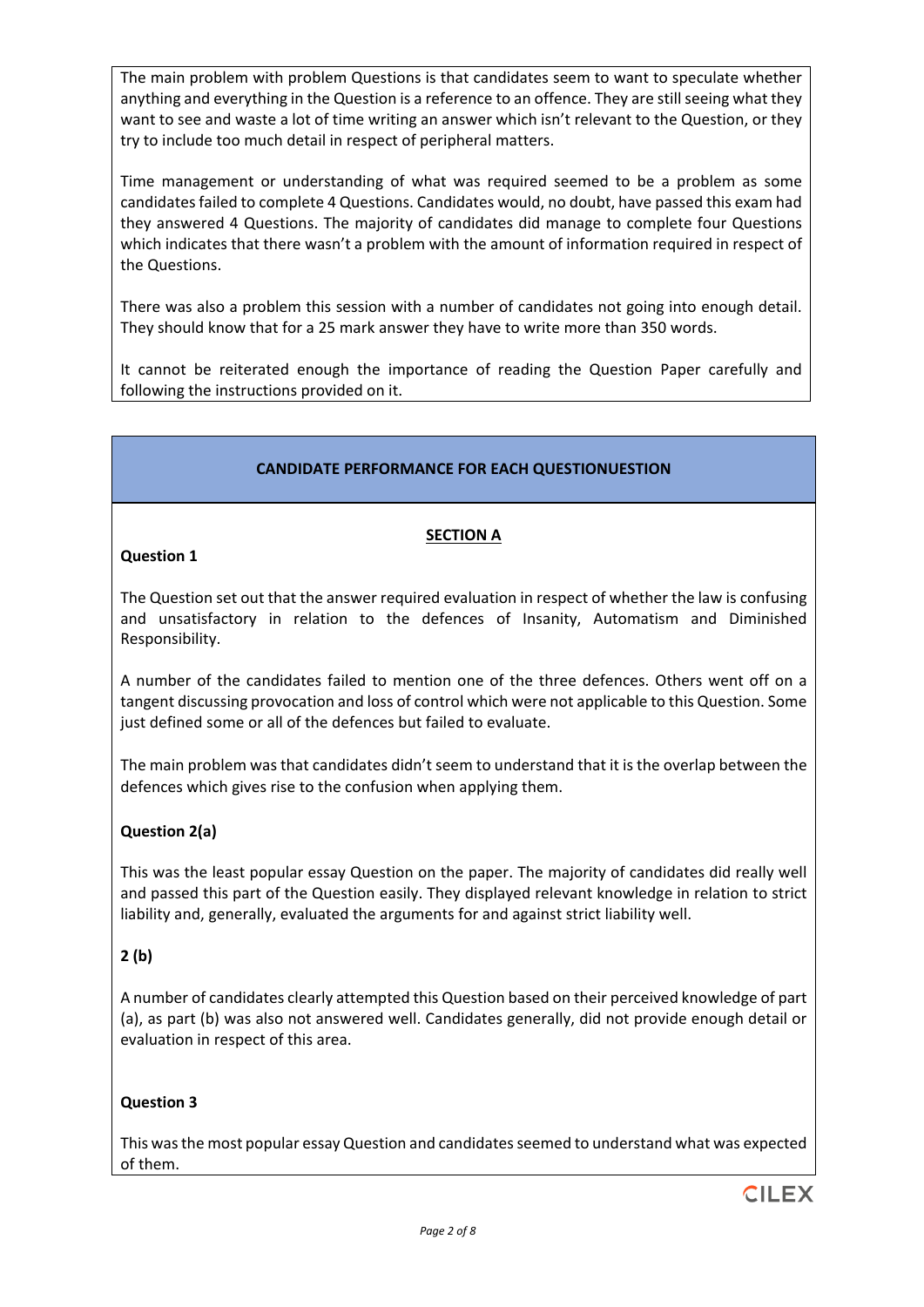The main problem with problem Questions is that candidates seem to want to speculate whether anything and everything in the Question is a reference to an offence. They are still seeing what they want to see and waste a lot of time writing an answer which isn't relevant to the Question, or they try to include too much detail in respect of peripheral matters.

Time management or understanding of what was required seemed to be a problem as some candidates failed to complete 4 Questions. Candidates would, no doubt, have passed this exam had they answered 4 Questions. The majority of candidates did manage to complete four Questions which indicates that there wasn't a problem with the amount of information required in respect of the Questions.

There was also a problem this session with a number of candidates not going into enough detail. They should know that for a 25 mark answer they have to write more than 350 words.

It cannot be reiterated enough the importance of reading the Question Paper carefully and following the instructions provided on it.

## **CANDIDATE PERFORMANCE FOR EACH QUESTIONUESTION**

## **SECTION A**

## **Question 1**

The Question set out that the answer required evaluation in respect of whether the law is confusing and unsatisfactory in relation to the defences of Insanity, Automatism and Diminished Responsibility.

A number of the candidates failed to mention one of the three defences. Others went off on a tangent discussing provocation and loss of control which were not applicable to this Question. Some just defined some or all of the defences but failed to evaluate.

The main problem was that candidates didn't seem to understand that it is the overlap between the defences which gives rise to the confusion when applying them.

# **Question 2(a)**

This was the least popular essay Question on the paper. The majority of candidates did really well and passed this part of the Question easily. They displayed relevant knowledge in relation to strict liability and, generally, evaluated the arguments for and against strict liability well.

# **2 (b)**

A number of candidates clearly attempted this Question based on their perceived knowledge of part (a), as part (b) was also not answered well. Candidates generally, did not provide enough detail or evaluation in respect of this area.

#### **Question 3**

This was the most popular essay Question and candidates seemed to understand what was expected of them.

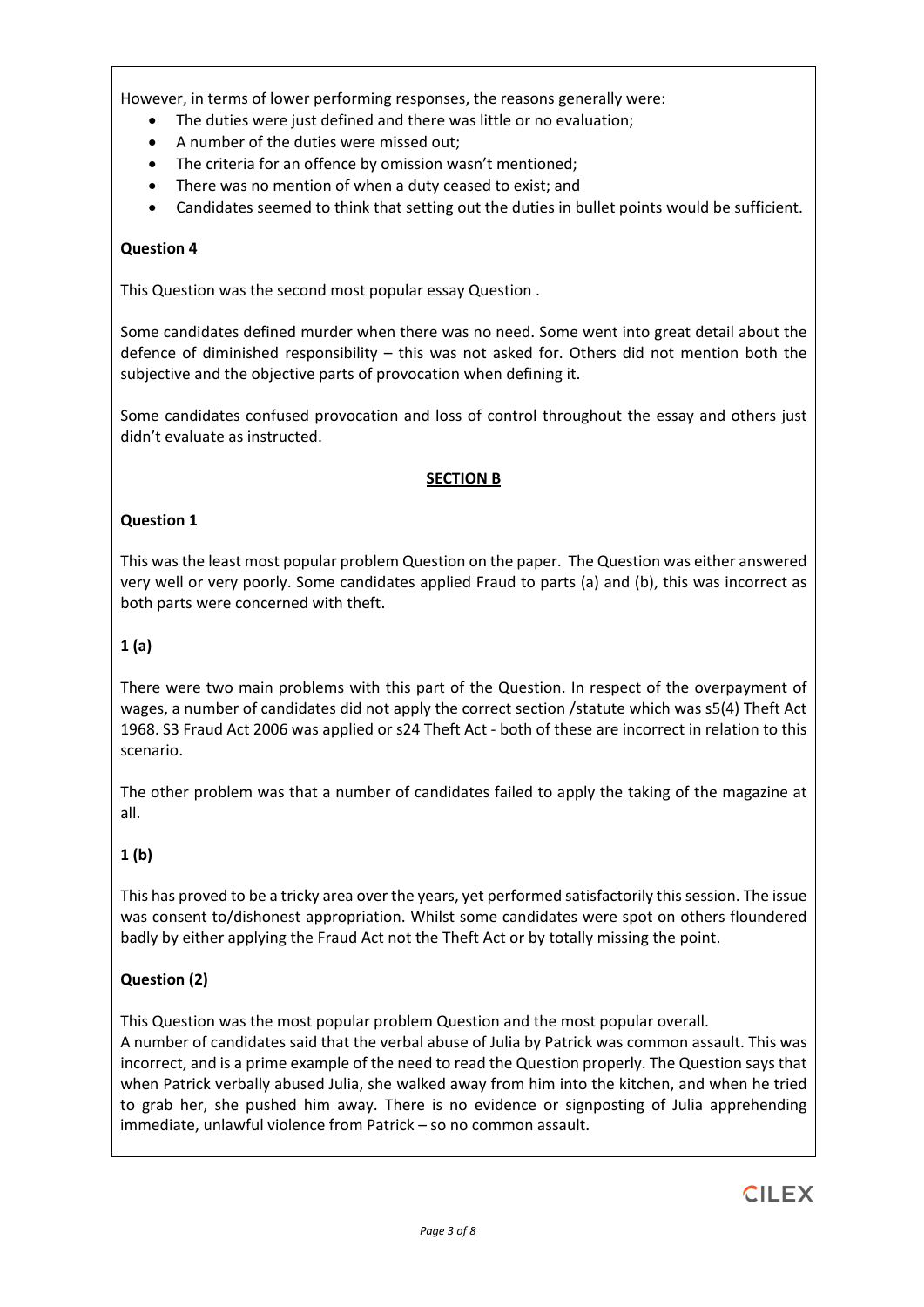However, in terms of lower performing responses, the reasons generally were:

- The duties were just defined and there was little or no evaluation;
- A number of the duties were missed out;
- The criteria for an offence by omission wasn't mentioned:
- There was no mention of when a duty ceased to exist; and
- Candidates seemed to think that setting out the duties in bullet points would be sufficient.

# **Question 4**

This Question was the second most popular essay Question .

Some candidates defined murder when there was no need. Some went into great detail about the defence of diminished responsibility – this was not asked for. Others did not mention both the subjective and the objective parts of provocation when defining it.

Some candidates confused provocation and loss of control throughout the essay and others just didn't evaluate as instructed.

## **SECTION B**

## **Question 1**

This was the least most popular problem Question on the paper. The Question was either answered very well or very poorly. Some candidates applied Fraud to parts (a) and (b), this was incorrect as both parts were concerned with theft.

# **1 (a)**

There were two main problems with this part of the Question. In respect of the overpayment of wages, a number of candidates did not apply the correct section /statute which was s5(4) Theft Act 1968. S3 Fraud Act 2006 was applied or s24 Theft Act - both of these are incorrect in relation to this scenario.

The other problem was that a number of candidates failed to apply the taking of the magazine at all.

# **1 (b)**

This has proved to be a tricky area over the years, yet performed satisfactorily this session. The issue was consent to/dishonest appropriation. Whilst some candidates were spot on others floundered badly by either applying the Fraud Act not the Theft Act or by totally missing the point.

# **Question (2)**

This Question was the most popular problem Question and the most popular overall.

A number of candidates said that the verbal abuse of Julia by Patrick was common assault. This was incorrect, and is a prime example of the need to read the Question properly. The Question says that when Patrick verbally abused Julia, she walked away from him into the kitchen, and when he tried to grab her, she pushed him away. There is no evidence or signposting of Julia apprehending immediate, unlawful violence from Patrick – so no common assault.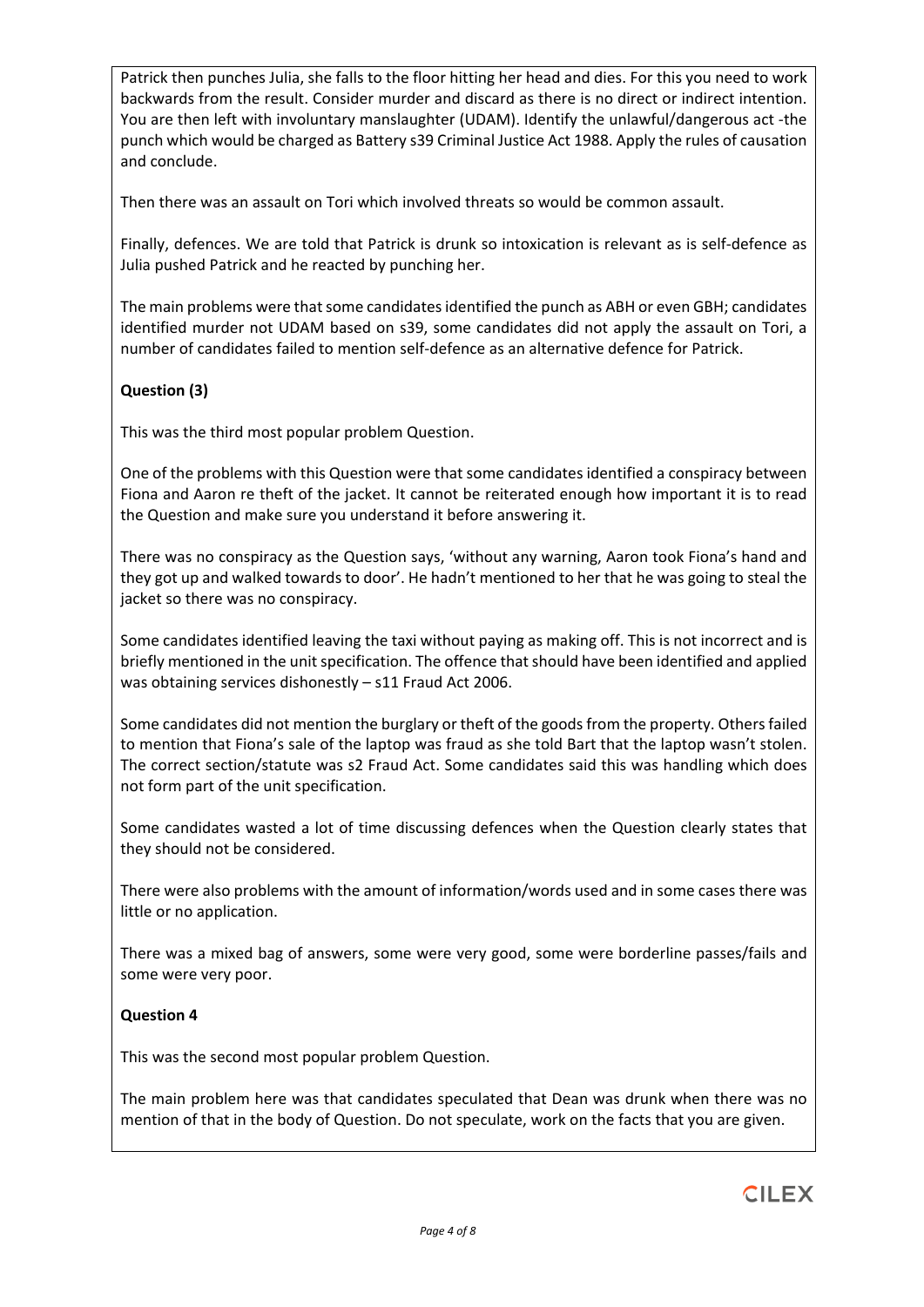Patrick then punches Julia, she falls to the floor hitting her head and dies. For this you need to work backwards from the result. Consider murder and discard as there is no direct or indirect intention. You are then left with involuntary manslaughter (UDAM). Identify the unlawful/dangerous act -the punch which would be charged as Battery s39 Criminal Justice Act 1988. Apply the rules of causation and conclude.

Then there was an assault on Tori which involved threats so would be common assault.

Finally, defences. We are told that Patrick is drunk so intoxication is relevant as is self-defence as Julia pushed Patrick and he reacted by punching her.

The main problems were that some candidates identified the punch as ABH or even GBH; candidates identified murder not UDAM based on s39, some candidates did not apply the assault on Tori, a number of candidates failed to mention self-defence as an alternative defence for Patrick.

# **Question (3)**

This was the third most popular problem Question.

One of the problems with this Question were that some candidates identified a conspiracy between Fiona and Aaron re theft of the jacket. It cannot be reiterated enough how important it is to read the Question and make sure you understand it before answering it.

There was no conspiracy as the Question says, 'without any warning, Aaron took Fiona's hand and they got up and walked towards to door'. He hadn't mentioned to her that he was going to steal the jacket so there was no conspiracy.

Some candidates identified leaving the taxi without paying as making off. This is not incorrect and is briefly mentioned in the unit specification. The offence that should have been identified and applied was obtaining services dishonestly – s11 Fraud Act 2006.

Some candidates did not mention the burglary or theft of the goods from the property. Others failed to mention that Fiona's sale of the laptop was fraud as she told Bart that the laptop wasn't stolen. The correct section/statute was s2 Fraud Act. Some candidates said this was handling which does not form part of the unit specification.

Some candidates wasted a lot of time discussing defences when the Question clearly states that they should not be considered.

There were also problems with the amount of information/words used and in some cases there was little or no application.

There was a mixed bag of answers, some were very good, some were borderline passes/fails and some were very poor.

# **Question 4**

This was the second most popular problem Question.

The main problem here was that candidates speculated that Dean was drunk when there was no mention of that in the body of Question. Do not speculate, work on the facts that you are given.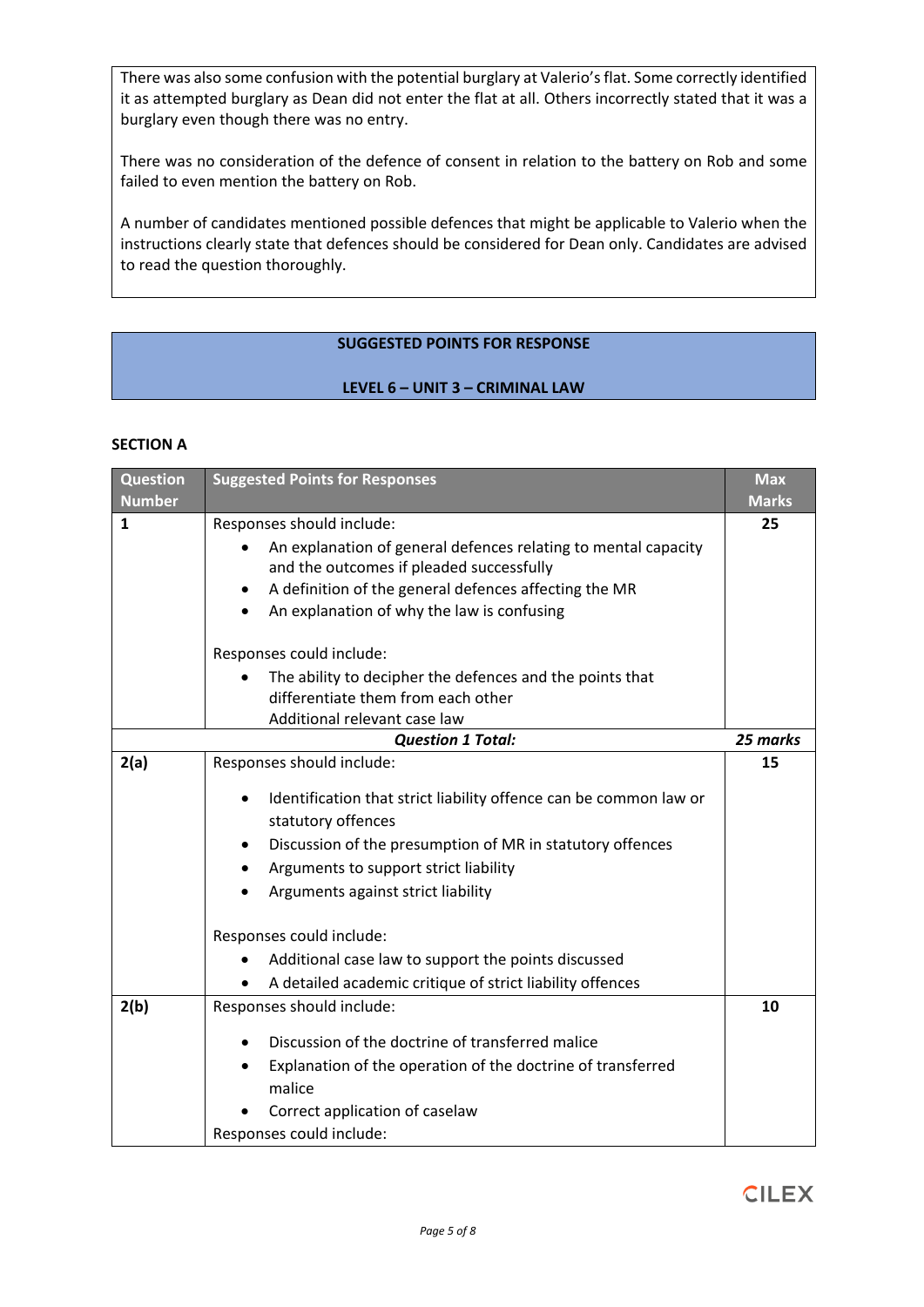There was also some confusion with the potential burglary at Valerio's flat. Some correctly identified it as attempted burglary as Dean did not enter the flat at all. Others incorrectly stated that it was a burglary even though there was no entry.

There was no consideration of the defence of consent in relation to the battery on Rob and some failed to even mention the battery on Rob.

A number of candidates mentioned possible defences that might be applicable to Valerio when the instructions clearly state that defences should be considered for Dean only. Candidates are advised to read the question thoroughly.

## **SUGGESTED POINTS FOR RESPONSE**

## **LEVEL 6 – UNIT 3 – CRIMINAL LAW**

#### **SECTION A**

| <b>Question</b><br><b>Number</b> | <b>Suggested Points for Responses</b>                                          | <b>Max</b><br><b>Marks</b> |
|----------------------------------|--------------------------------------------------------------------------------|----------------------------|
| $\mathbf{1}$                     | Responses should include:                                                      | 25                         |
|                                  | An explanation of general defences relating to mental capacity                 |                            |
|                                  | and the outcomes if pleaded successfully                                       |                            |
|                                  | A definition of the general defences affecting the MR<br>$\bullet$             |                            |
|                                  | An explanation of why the law is confusing                                     |                            |
|                                  | Responses could include:                                                       |                            |
|                                  | The ability to decipher the defences and the points that                       |                            |
|                                  | differentiate them from each other                                             |                            |
|                                  | Additional relevant case law                                                   |                            |
|                                  | <b>Question 1 Total:</b>                                                       | 25 marks                   |
| 2(a)                             | Responses should include:                                                      | 15                         |
|                                  | Identification that strict liability offence can be common law or<br>$\bullet$ |                            |
|                                  | statutory offences                                                             |                            |
|                                  | Discussion of the presumption of MR in statutory offences<br>٠                 |                            |
|                                  |                                                                                |                            |
|                                  | Arguments to support strict liability<br>$\bullet$                             |                            |
|                                  | Arguments against strict liability                                             |                            |
|                                  | Responses could include:                                                       |                            |
|                                  | Additional case law to support the points discussed                            |                            |
|                                  | A detailed academic critique of strict liability offences                      |                            |
| 2(b)                             | Responses should include:                                                      | 10                         |
|                                  | Discussion of the doctrine of transferred malice                               |                            |
|                                  |                                                                                |                            |
|                                  | Explanation of the operation of the doctrine of transferred<br>malice          |                            |
|                                  |                                                                                |                            |
|                                  | Correct application of caselaw                                                 |                            |
|                                  | Responses could include:                                                       |                            |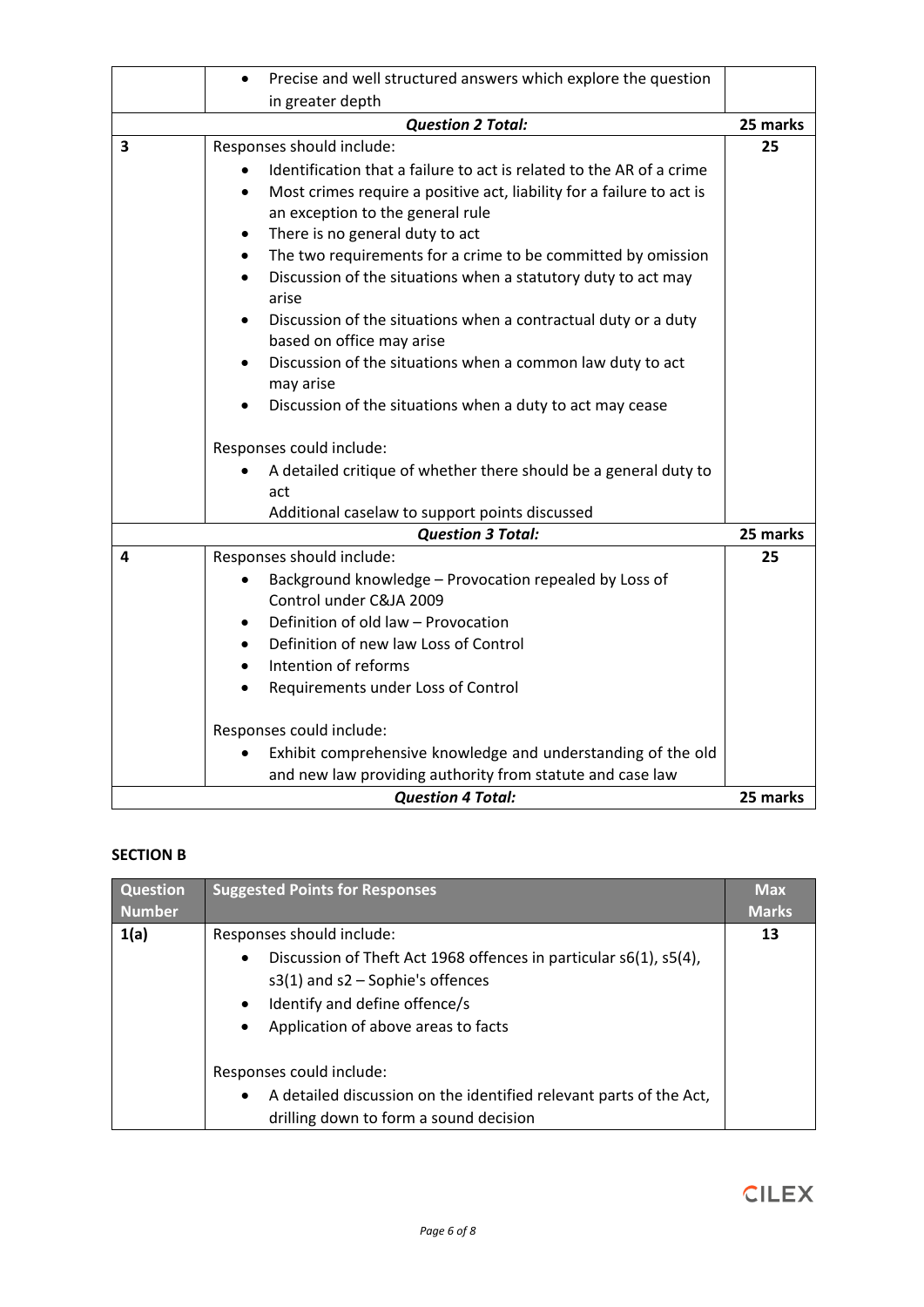|   | Precise and well structured answers which explore the question<br>$\bullet$                                            |          |
|---|------------------------------------------------------------------------------------------------------------------------|----------|
|   | in greater depth                                                                                                       |          |
|   | <b>Question 2 Total:</b>                                                                                               | 25 marks |
| 3 | Responses should include:                                                                                              | 25       |
|   | Identification that a failure to act is related to the AR of a crime                                                   |          |
|   | Most crimes require a positive act, liability for a failure to act is<br>$\bullet$<br>an exception to the general rule |          |
|   | There is no general duty to act<br>$\bullet$                                                                           |          |
|   | The two requirements for a crime to be committed by omission                                                           |          |
|   | Discussion of the situations when a statutory duty to act may<br>arise                                                 |          |
|   | Discussion of the situations when a contractual duty or a duty<br>based on office may arise                            |          |
|   | Discussion of the situations when a common law duty to act<br>may arise                                                |          |
|   | Discussion of the situations when a duty to act may cease                                                              |          |
|   | Responses could include:                                                                                               |          |
|   | A detailed critique of whether there should be a general duty to<br>act                                                |          |
|   | Additional caselaw to support points discussed                                                                         |          |
|   | <b>Question 3 Total:</b>                                                                                               | 25 marks |
| 4 | Responses should include:                                                                                              | 25       |
|   | Background knowledge - Provocation repealed by Loss of<br>$\bullet$<br>Control under C&JA 2009                         |          |
|   | Definition of old law - Provocation                                                                                    |          |
|   | Definition of new law Loss of Control                                                                                  |          |
|   | Intention of reforms<br>$\bullet$                                                                                      |          |
|   | Requirements under Loss of Control                                                                                     |          |
|   | Responses could include:                                                                                               |          |
|   | Exhibit comprehensive knowledge and understanding of the old                                                           |          |
|   | and new law providing authority from statute and case law                                                              |          |
|   | <b>Question 4 Total:</b>                                                                                               | 25 marks |

# **SECTION B**

| Question      | <b>Suggested Points for Responses</b>                                                                                                                                                                                                         | <b>Max</b>   |
|---------------|-----------------------------------------------------------------------------------------------------------------------------------------------------------------------------------------------------------------------------------------------|--------------|
| <b>Number</b> |                                                                                                                                                                                                                                               | <b>Marks</b> |
| 1(a)          | Responses should include:<br>Discussion of Theft Act 1968 offences in particular s6(1), s5(4),<br>٠<br>$s3(1)$ and $s2$ - Sophie's offences<br>Identify and define offence/s<br>$\bullet$<br>Application of above areas to facts<br>$\bullet$ | 13           |
|               | Responses could include:<br>A detailed discussion on the identified relevant parts of the Act,<br>$\bullet$<br>drilling down to form a sound decision                                                                                         |              |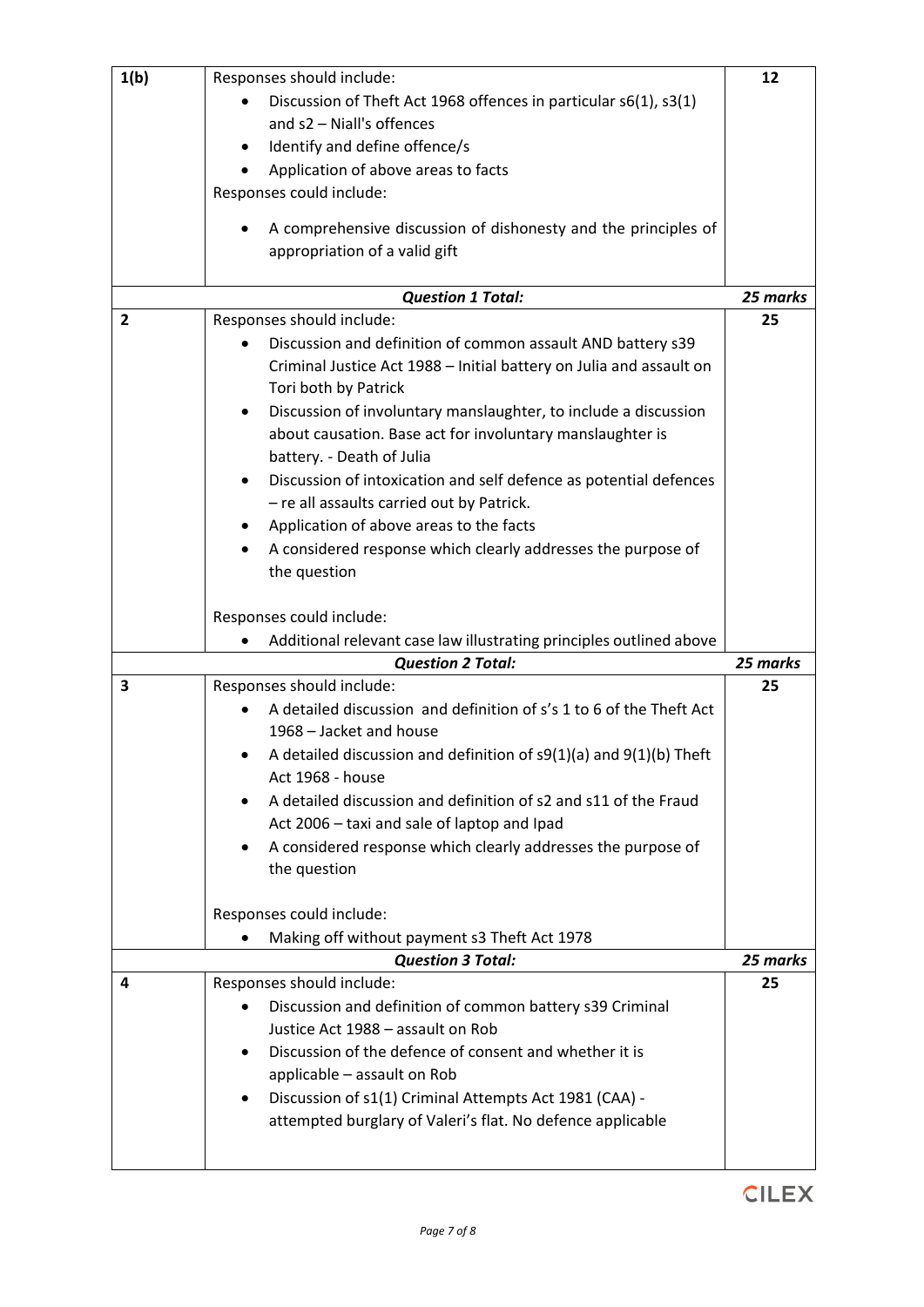| 1(b)           | Responses should include:                                                      | 12       |
|----------------|--------------------------------------------------------------------------------|----------|
|                | Discussion of Theft Act 1968 offences in particular s6(1), s3(1)               |          |
|                | and s2 - Niall's offences                                                      |          |
|                | Identify and define offence/s                                                  |          |
|                | Application of above areas to facts                                            |          |
|                | Responses could include:                                                       |          |
|                |                                                                                |          |
|                | A comprehensive discussion of dishonesty and the principles of                 |          |
|                | appropriation of a valid gift                                                  |          |
|                |                                                                                |          |
|                | <b>Question 1 Total:</b>                                                       | 25 marks |
| $\overline{2}$ | Responses should include:                                                      | 25       |
|                | Discussion and definition of common assault AND battery s39                    |          |
|                | Criminal Justice Act 1988 - Initial battery on Julia and assault on            |          |
|                | Tori both by Patrick                                                           |          |
|                | Discussion of involuntary manslaughter, to include a discussion<br>٠           |          |
|                | about causation. Base act for involuntary manslaughter is                      |          |
|                |                                                                                |          |
|                | battery. - Death of Julia                                                      |          |
|                | Discussion of intoxication and self defence as potential defences<br>$\bullet$ |          |
|                | - re all assaults carried out by Patrick.                                      |          |
|                | Application of above areas to the facts<br>$\bullet$                           |          |
|                | A considered response which clearly addresses the purpose of                   |          |
|                | the question                                                                   |          |
|                |                                                                                |          |
|                | Responses could include:                                                       |          |
|                | Additional relevant case law illustrating principles outlined above            |          |
|                | <b>Question 2 Total:</b>                                                       | 25 marks |
| 3              | Responses should include:                                                      | 25       |
|                | A detailed discussion and definition of s's 1 to 6 of the Theft Act            |          |
|                | 1968 - Jacket and house                                                        |          |
|                | A detailed discussion and definition of s9(1)(a) and 9(1)(b) Theft             |          |
|                | Act 1968 - house                                                               |          |
|                | A detailed discussion and definition of s2 and s11 of the Fraud                |          |
|                | Act 2006 - taxi and sale of laptop and Ipad                                    |          |
|                | A considered response which clearly addresses the purpose of                   |          |
|                | the question                                                                   |          |
|                |                                                                                |          |
|                | Responses could include:                                                       |          |
|                |                                                                                |          |
|                | Making off without payment s3 Theft Act 1978                                   |          |
|                | <b>Question 3 Total:</b>                                                       | 25 marks |
| 4              | Responses should include:                                                      | 25       |
|                | Discussion and definition of common battery s39 Criminal                       |          |
|                | Justice Act 1988 - assault on Rob                                              |          |
|                | Discussion of the defence of consent and whether it is                         |          |
|                | applicable - assault on Rob                                                    |          |
|                | Discussion of s1(1) Criminal Attempts Act 1981 (CAA) -                         |          |
|                | attempted burglary of Valeri's flat. No defence applicable                     |          |
|                |                                                                                |          |
|                |                                                                                |          |